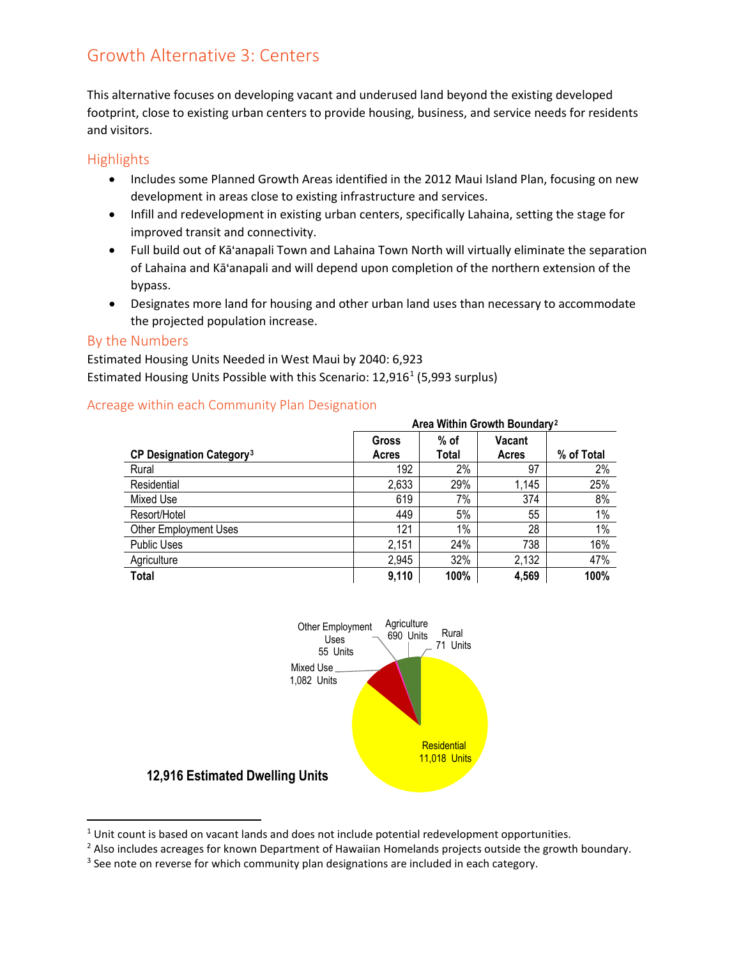# Growth Alternative 3: Centers

This alternative focuses on developing vacant and underused land beyond the existing developed footprint, close to existing urban centers to provide housing, business, and service needs for residents and visitors.

### **Highlights**

- Includes some Planned Growth Areas identified in the 2012 Maui Island Plan, focusing on new development in areas close to existing infrastructure and services.
- Infill and redevelopment in existing urban centers, specifically Lahaina, setting the stage for improved transit and connectivity.
- Full build out of Kā'anapali Town and Lahaina Town North will virtually eliminate the separation of Lahaina and Kā'anapali and will depend upon completion of the northern extension of the bypass.
- Designates more land for housing and other urban land uses than necessary to accommodate the projected population increase.

#### By the Numbers

Estimated Housing Units Needed in West Maui by 2040: 6,923 Estimated Housing Units Possible with this Scenario: [1](#page-0-0)2,916<sup>1</sup> (5,993 surplus)

|                                            | Area Within Growth Boundary <sup>2</sup> |                 |                        |            |
|--------------------------------------------|------------------------------------------|-----------------|------------------------|------------|
| <b>CP Designation Category<sup>3</sup></b> | <b>Gross</b><br>Acres                    | $%$ of<br>Total | <b>Vacant</b><br>Acres | % of Total |
| Rural                                      | 192                                      | 2%              | 97                     | 2%         |
| Residential                                | 2,633                                    | 29%             | 1,145                  | 25%        |
| Mixed Use                                  | 619                                      | 7%              | 374                    | 8%         |
| Resort/Hotel                               | 449                                      | 5%              | 55                     | 1%         |
| <b>Other Employment Uses</b>               | 121                                      | 1%              | 28                     | 1%         |
| <b>Public Uses</b>                         | 2,151                                    | 24%             | 738                    | 16%        |
| Agriculture                                | 2,945                                    | 32%             | 2,132                  | 47%        |
| Total                                      | 9,110                                    | 100%            | 4,569                  | 100%       |

#### Acreage within each Community Plan Designation



<span id="page-0-0"></span> $1$  Unit count is based on vacant lands and does not include potential redevelopment opportunities.

<span id="page-0-1"></span><sup>&</sup>lt;sup>2</sup> Also includes acreages for known Department of Hawaiian Homelands projects outside the growth boundary.

<span id="page-0-2"></span><sup>&</sup>lt;sup>3</sup> See note on reverse for which community plan designations are included in each category.